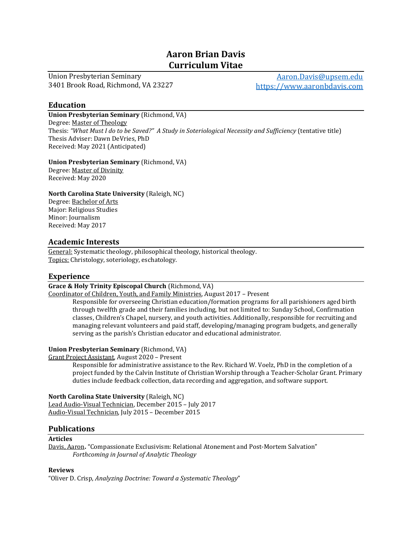# Aaron Brian Davis Curriculum Vitae

Union Presbyterian Seminary 3401 Brook Road, Richmond, VA 23227

Aaron.Davis@upsem.edu https://www.aaronbdavis.com

### Education

Union Presbyterian Seminary (Richmond, VA) Degree: Master of Theology Thesis: "What Must I do to be Saved?" A Study in Soteriological Necessity and Sufficiency (tentative title) Thesis Adviser: Dawn DeVries, PhD Received: May 2021 (Anticipated)

#### Union Presbyterian Seminary (Richmond, VA)

Degree: Master of Divinity Received: May 2020

### North Carolina State University (Raleigh, NC)

Degree: Bachelor of Arts Major: Religious Studies Minor: Journalism Received: May 2017

# Academic Interests

General: Systematic theology, philosophical theology, historical theology. Topics: Christology, soteriology, eschatology.

# Experience

Grace & Holy Trinity Episcopal Church (Richmond, VA)

Coordinator of Children, Youth, and Family Ministries, August 2017 – Present

Responsible for overseeing Christian education/formation programs for all parishioners aged birth through twelfth grade and their families including, but not limited to: Sunday School, Confirmation classes, Children's Chapel, nursery, and youth activities. Additionally, responsible for recruiting and managing relevant volunteers and paid staff, developing/managing program budgets, and generally serving as the parish's Christian educator and educational administrator.

### Union Presbyterian Seminary (Richmond, VA)

Grant Project Assistant, August 2020 – Present

Responsible for administrative assistance to the Rev. Richard W. Voelz, PhD in the completion of a project funded by the Calvin Institute of Christian Worship through a Teacher-Scholar Grant. Primary duties include feedback collection, data recording and aggregation, and software support.

North Carolina State University (Raleigh, NC) Lead Audio-Visual Technician, December 2015 – July 2017 Audio-Visual Technician, July 2015 – December 2015

# Publications

#### Articles

Davis, Aaron. "Compassionate Exclusivism: Relational Atonement and Post-Mortem Salvation" Forthcoming in Journal of Analytic Theology

### Reviews

"Oliver D. Crisp, Analyzing Doctrine: Toward a Systematic Theology"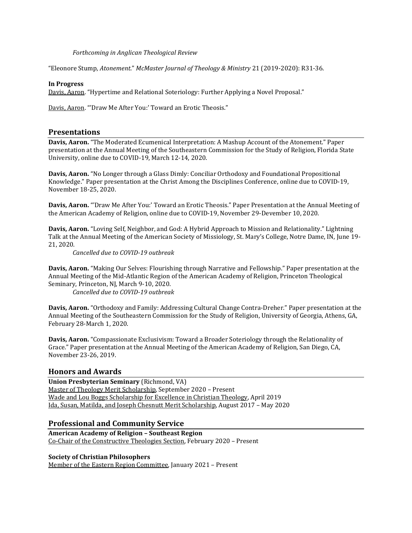#### Forthcoming in Anglican Theological Review

"Eleonore Stump, Atonement." McMaster Journal of Theology & Ministry 21 (2019-2020): R31-36.

#### In Progress

Davis, Aaron. "Hypertime and Relational Soteriology: Further Applying a Novel Proposal."

Davis, Aaron. "'Draw Me After You:' Toward an Erotic Theosis."

#### Presentations

Davis, Aaron. "The Moderated Ecumenical Interpretation: A Mashup Account of the Atonement." Paper presentation at the Annual Meeting of the Southeastern Commission for the Study of Religion, Florida State University, online due to COVID-19, March 12-14, 2020.

Davis, Aaron. "No Longer through a Glass Dimly: Conciliar Orthodoxy and Foundational Propositional Knowledge." Paper presentation at the Christ Among the Disciplines Conference, online due to COVID-19, November 18-25, 2020.

Davis, Aaron. "'Draw Me After You:' Toward an Erotic Theosis." Paper Presentation at the Annual Meeting of the American Academy of Religion, online due to COVID-19, November 29-Devember 10, 2020.

Davis, Aaron. "Loving Self, Neighbor, and God: A Hybrid Approach to Mission and Relationality." Lightning Talk at the Annual Meeting of the American Society of Missiology, St. Mary's College, Notre Dame, IN, June 19- 21, 2020.

Cancelled due to COVID-19 outbreak

Davis, Aaron. "Making Our Selves: Flourishing through Narrative and Fellowship." Paper presentation at the Annual Meeting of the Mid-Atlantic Region of the American Academy of Religion, Princeton Theological Seminary, Princeton, NJ, March 9-10, 2020.

Cancelled due to COVID-19 outbreak

Davis, Aaron. "Orthodoxy and Family: Addressing Cultural Change Contra-Dreher." Paper presentation at the Annual Meeting of the Southeastern Commission for the Study of Religion, University of Georgia, Athens, GA, February 28-March 1, 2020.

Davis, Aaron. "Compassionate Exclusivism: Toward a Broader Soteriology through the Relationality of Grace." Paper presentation at the Annual Meeting of the American Academy of Religion, San Diego, CA, November 23-26, 2019.

### Honors and Awards

Union Presbyterian Seminary (Richmond, VA) Master of Theology Merit Scholarship, September 2020 – Present Wade and Lou Boggs Scholarship for Excellence in Christian Theology, April 2019 Ida, Susan, Matilda, and Joseph Chesnutt Merit Scholarship, August 2017 – May 2020

# Professional and Community Service

American Academy of Religion – Southeast Region Co-Chair of the Constructive Theologies Section, February 2020 – Present

#### Society of Christian Philosophers

Member of the Eastern Region Committee, January 2021 – Present